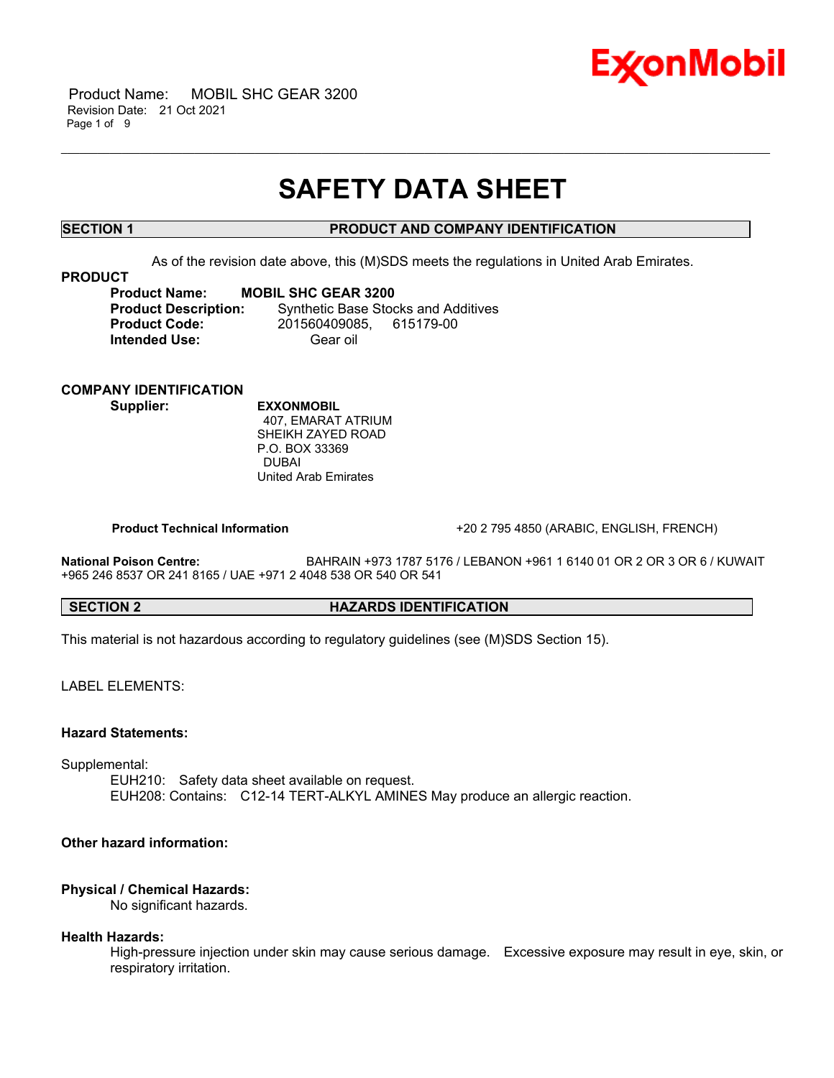

 Product Name: MOBIL SHC GEAR 3200 Revision Date: 21 Oct 2021 Page 1 of 9

## **SAFETY DATA SHEET**

\_\_\_\_\_\_\_\_\_\_\_\_\_\_\_\_\_\_\_\_\_\_\_\_\_\_\_\_\_\_\_\_\_\_\_\_\_\_\_\_\_\_\_\_\_\_\_\_\_\_\_\_\_\_\_\_\_\_\_\_\_\_\_\_\_\_\_\_\_\_\_\_\_\_\_\_\_\_\_\_\_\_\_\_\_\_\_\_\_\_\_\_\_\_\_\_\_\_\_\_\_\_\_\_\_\_\_\_\_\_\_\_\_\_\_\_\_

### **SECTION 1 PRODUCT AND COMPANY IDENTIFICATION**

As of the revision date above, this (M)SDS meets the regulations in United Arab Emirates.

#### **PRODUCT**

**Product Name: MOBIL SHC GEAR 3200 Product Description:** Synthetic Base Stocks and Additives **Product Code:** 201560409085, 615179-00 **Intended Use:** Gear oil

### **COMPANY IDENTIFICATION**

**Supplier: EXXONMOBIL** 407, EMARAT ATRIUM SHEIKH ZAYED ROAD P.O. BOX 33369 DUBAI United Arab Emirates

**Product Technical Information** +20 2 795 4850 (ARABIC, ENGLISH, FRENCH)

**National Poison Centre:** BAHRAIN +973 1787 5176 / LEBANON +961 1 6140 01 OR 2 OR 3 OR 6 / KUWAIT +965 246 8537 OR 241 8165 / UAE +971 2 4048 538 OR 540 OR 541

### **SECTION 2 HAZARDS IDENTIFICATION**

This material is not hazardous according to regulatory guidelines (see (M)SDS Section 15).

LABEL ELEMENTS:

#### **Hazard Statements:**

Supplemental:

EUH210: Safety data sheet available on request. EUH208: Contains: C12-14 TERT-ALKYL AMINES May produce an allergic reaction.

### **Other hazard information:**

#### **Physical / Chemical Hazards:**

No significant hazards.

#### **Health Hazards:**

High-pressure injection under skin may cause serious damage. Excessive exposure may result in eye, skin, or respiratory irritation.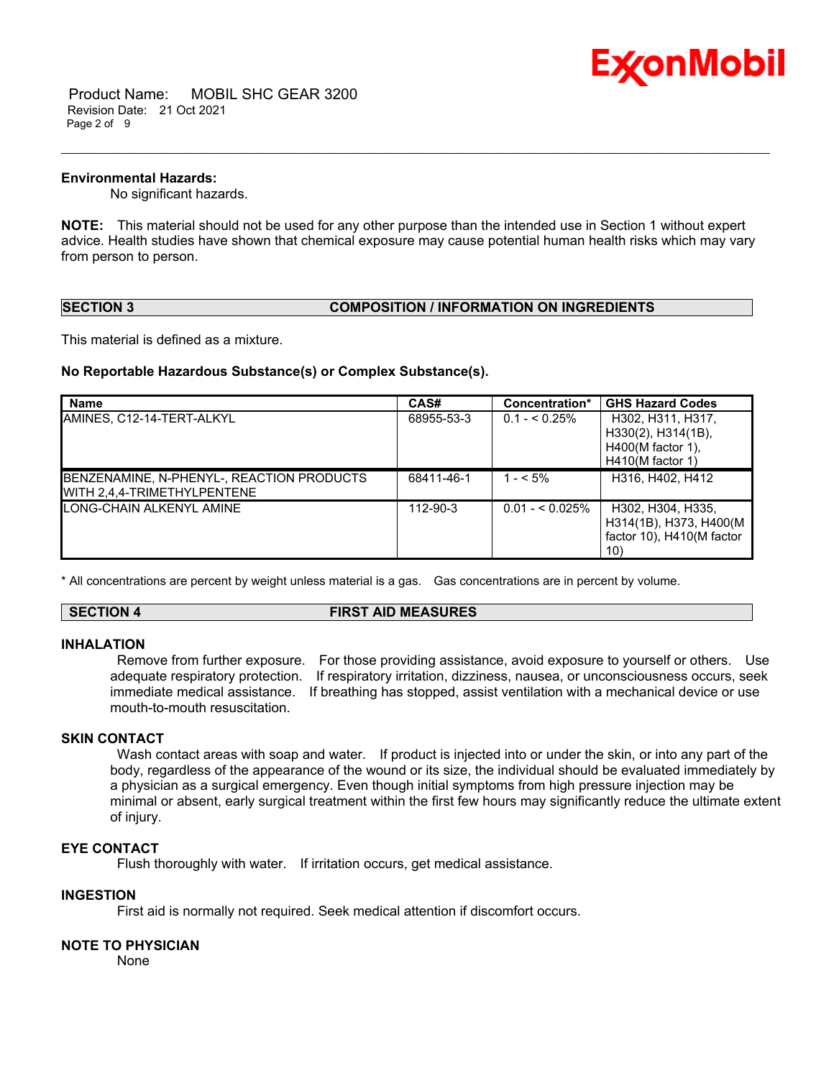

 Product Name: MOBIL SHC GEAR 3200 Revision Date: 21 Oct 2021 Page 2 of 9

#### **Environmental Hazards:**

No significant hazards.

**NOTE:** This material should not be used for any other purpose than the intended use in Section 1 without expert advice. Health studies have shown that chemical exposure may cause potential human health risks which may vary from person to person.

\_\_\_\_\_\_\_\_\_\_\_\_\_\_\_\_\_\_\_\_\_\_\_\_\_\_\_\_\_\_\_\_\_\_\_\_\_\_\_\_\_\_\_\_\_\_\_\_\_\_\_\_\_\_\_\_\_\_\_\_\_\_\_\_\_\_\_\_\_\_\_\_\_\_\_\_\_\_\_\_\_\_\_\_\_\_\_\_\_\_\_\_\_\_\_\_\_\_\_\_\_\_\_\_\_\_\_\_\_\_\_\_\_\_\_\_\_

#### **SECTION 3 COMPOSITION / INFORMATION ON INGREDIENTS**

This material is defined as a mixture.

#### **No Reportable Hazardous Substance(s) or Complex Substance(s).**

| <b>Name</b>                                                              | CAS#       | Concentration*   | <b>GHS Hazard Codes</b>                                                              |
|--------------------------------------------------------------------------|------------|------------------|--------------------------------------------------------------------------------------|
| AMINES. C12-14-TERT-ALKYL                                                | 68955-53-3 | $0.1 - 5.25\%$   | H302, H311, H317,<br>H330(2), H314(1B),<br>$H400(M$ factor 1).<br>$H410(M$ factor 1) |
| BENZENAMINE, N-PHENYL-, REACTION PRODUCTS<br>WITH 2.4.4-TRIMETHYLPENTENE | 68411-46-1 | $1 - 5\%$        | H316, H402, H412                                                                     |
| <b>ILONG-CHAIN ALKENYL AMINE</b>                                         | 112-90-3   | $0.01 - 5.025\%$ | H302, H304, H335,<br>H314(1B), H373, H400(M<br>factor 10), H410(M factor<br>10)      |

\* All concentrations are percent by weight unless material is a gas. Gas concentrations are in percent by volume.

#### **SECTION 4 FIRST AID MEASURES**

#### **INHALATION**

Remove from further exposure. For those providing assistance, avoid exposure to yourself or others. Use adequate respiratory protection. If respiratory irritation, dizziness, nausea, or unconsciousness occurs, seek immediate medical assistance. If breathing has stopped, assist ventilation with a mechanical device or use mouth-to-mouth resuscitation.

#### **SKIN CONTACT**

Wash contact areas with soap and water. If product is injected into or under the skin, or into any part of the body, regardless of the appearance of the wound or its size, the individual should be evaluated immediately by a physician as a surgical emergency. Even though initial symptoms from high pressure injection may be minimal or absent, early surgical treatment within the first few hours may significantly reduce the ultimate extent of injury.

#### **EYE CONTACT**

Flush thoroughly with water. If irritation occurs, get medical assistance.

#### **INGESTION**

First aid is normally not required. Seek medical attention if discomfort occurs.

#### **NOTE TO PHYSICIAN**

None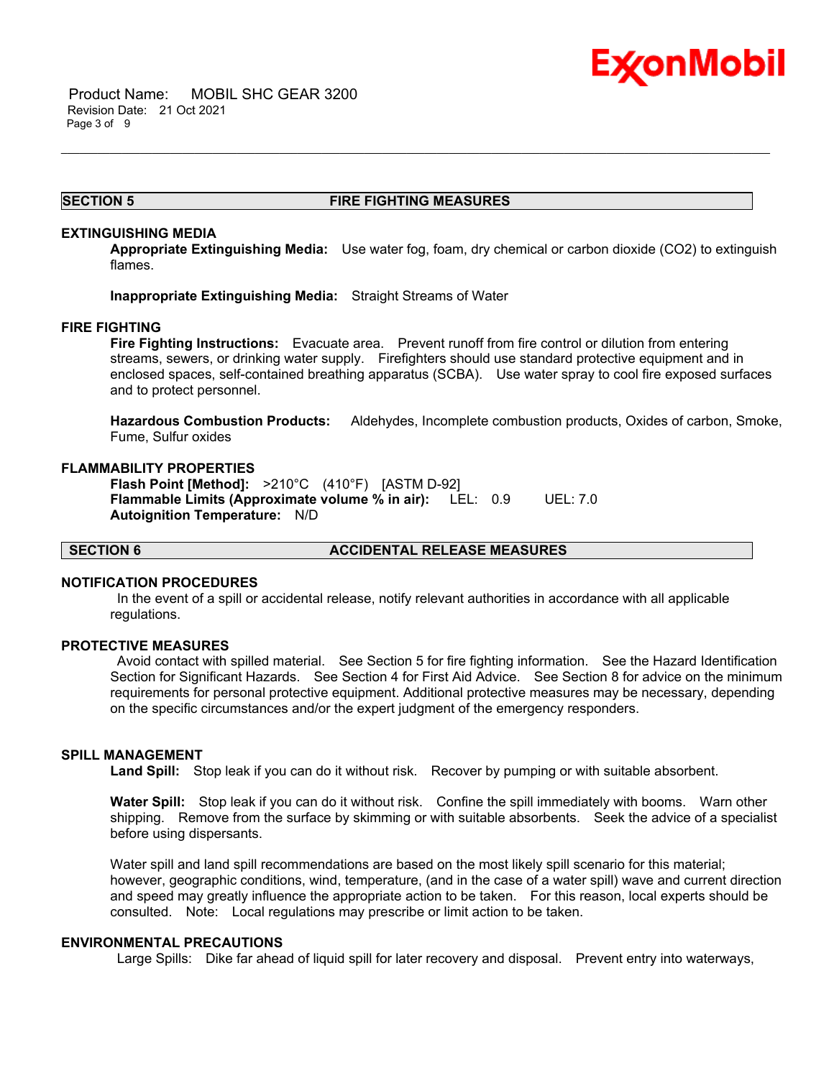

#### **SECTION 5 FIRE FIGHTING MEASURES**

\_\_\_\_\_\_\_\_\_\_\_\_\_\_\_\_\_\_\_\_\_\_\_\_\_\_\_\_\_\_\_\_\_\_\_\_\_\_\_\_\_\_\_\_\_\_\_\_\_\_\_\_\_\_\_\_\_\_\_\_\_\_\_\_\_\_\_\_\_\_\_\_\_\_\_\_\_\_\_\_\_\_\_\_\_\_\_\_\_\_\_\_\_\_\_\_\_\_\_\_\_\_\_\_\_\_\_\_\_\_\_\_\_\_\_\_\_

#### **EXTINGUISHING MEDIA**

**Appropriate Extinguishing Media:** Use water fog, foam, dry chemical or carbon dioxide (CO2) to extinguish flames.

**Inappropriate Extinguishing Media:** Straight Streams of Water

#### **FIRE FIGHTING**

**Fire Fighting Instructions:** Evacuate area. Prevent runoff from fire control or dilution from entering streams, sewers, or drinking water supply. Firefighters should use standard protective equipment and in enclosed spaces, self-contained breathing apparatus (SCBA). Use water spray to cool fire exposed surfaces and to protect personnel.

**Hazardous Combustion Products:** Aldehydes, Incomplete combustion products, Oxides of carbon, Smoke, Fume, Sulfur oxides

#### **FLAMMABILITY PROPERTIES**

**Flash Point [Method]:** >210°C (410°F) [ASTM D-92] **Flammable Limits (Approximate volume % in air):** LEL: 0.9 UEL: 7.0 **Autoignition Temperature:** N/D

#### **SECTION 6 ACCIDENTAL RELEASE MEASURES**

#### **NOTIFICATION PROCEDURES**

In the event of a spill or accidental release, notify relevant authorities in accordance with all applicable regulations.

#### **PROTECTIVE MEASURES**

Avoid contact with spilled material. See Section 5 for fire fighting information. See the Hazard Identification Section for Significant Hazards. See Section 4 for First Aid Advice. See Section 8 for advice on the minimum requirements for personal protective equipment. Additional protective measures may be necessary, depending on the specific circumstances and/or the expert judgment of the emergency responders.

#### **SPILL MANAGEMENT**

**Land Spill:** Stop leak if you can do it without risk. Recover by pumping or with suitable absorbent.

**Water Spill:** Stop leak if you can do it without risk. Confine the spill immediately with booms. Warn other shipping. Remove from the surface by skimming or with suitable absorbents. Seek the advice of a specialist before using dispersants.

Water spill and land spill recommendations are based on the most likely spill scenario for this material; however, geographic conditions, wind, temperature, (and in the case of a water spill) wave and current direction and speed may greatly influence the appropriate action to be taken. For this reason, local experts should be consulted. Note: Local regulations may prescribe or limit action to be taken.

#### **ENVIRONMENTAL PRECAUTIONS**

Large Spills: Dike far ahead of liquid spill for later recovery and disposal. Prevent entry into waterways,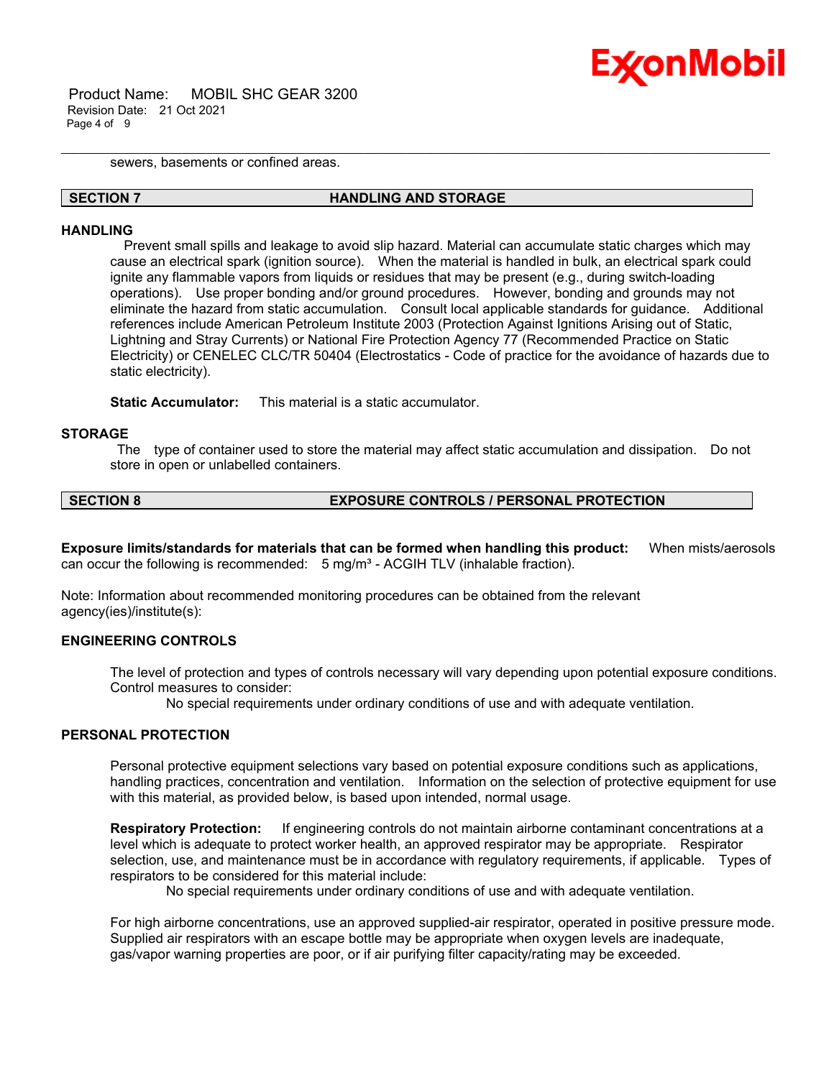

 Product Name: MOBIL SHC GEAR 3200 Revision Date: 21 Oct 2021 Page 4 of 9

sewers, basements or confined areas.

#### **SECTION 7 HANDLING AND STORAGE**

\_\_\_\_\_\_\_\_\_\_\_\_\_\_\_\_\_\_\_\_\_\_\_\_\_\_\_\_\_\_\_\_\_\_\_\_\_\_\_\_\_\_\_\_\_\_\_\_\_\_\_\_\_\_\_\_\_\_\_\_\_\_\_\_\_\_\_\_\_\_\_\_\_\_\_\_\_\_\_\_\_\_\_\_\_\_\_\_\_\_\_\_\_\_\_\_\_\_\_\_\_\_\_\_\_\_\_\_\_\_\_\_\_\_\_\_\_

#### **HANDLING**

 Prevent small spills and leakage to avoid slip hazard. Material can accumulate static charges which may cause an electrical spark (ignition source). When the material is handled in bulk, an electrical spark could ignite any flammable vapors from liquids or residues that may be present (e.g., during switch-loading operations). Use proper bonding and/or ground procedures. However, bonding and grounds may not eliminate the hazard from static accumulation. Consult local applicable standards for guidance. Additional references include American Petroleum Institute 2003 (Protection Against Ignitions Arising out of Static, Lightning and Stray Currents) or National Fire Protection Agency 77 (Recommended Practice on Static Electricity) or CENELEC CLC/TR 50404 (Electrostatics - Code of practice for the avoidance of hazards due to static electricity).

**Static Accumulator:** This material is a static accumulator.

#### **STORAGE**

The type of container used to store the material may affect static accumulation and dissipation. Do not store in open or unlabelled containers.

### **SECTION 8 EXPOSURE CONTROLS / PERSONAL PROTECTION**

**Exposure limits/standards for materials that can be formed when handling this product:** When mists/aerosols can occur the following is recommended: 5 mg/m<sup>3</sup> - ACGIH TLV (inhalable fraction).

Note: Information about recommended monitoring procedures can be obtained from the relevant agency(ies)/institute(s):

#### **ENGINEERING CONTROLS**

The level of protection and types of controls necessary will vary depending upon potential exposure conditions. Control measures to consider:

No special requirements under ordinary conditions of use and with adequate ventilation.

#### **PERSONAL PROTECTION**

Personal protective equipment selections vary based on potential exposure conditions such as applications, handling practices, concentration and ventilation. Information on the selection of protective equipment for use with this material, as provided below, is based upon intended, normal usage.

**Respiratory Protection:** If engineering controls do not maintain airborne contaminant concentrations at a level which is adequate to protect worker health, an approved respirator may be appropriate. Respirator selection, use, and maintenance must be in accordance with regulatory requirements, if applicable. Types of respirators to be considered for this material include:

No special requirements under ordinary conditions of use and with adequate ventilation.

For high airborne concentrations, use an approved supplied-air respirator, operated in positive pressure mode. Supplied air respirators with an escape bottle may be appropriate when oxygen levels are inadequate, gas/vapor warning properties are poor, or if air purifying filter capacity/rating may be exceeded.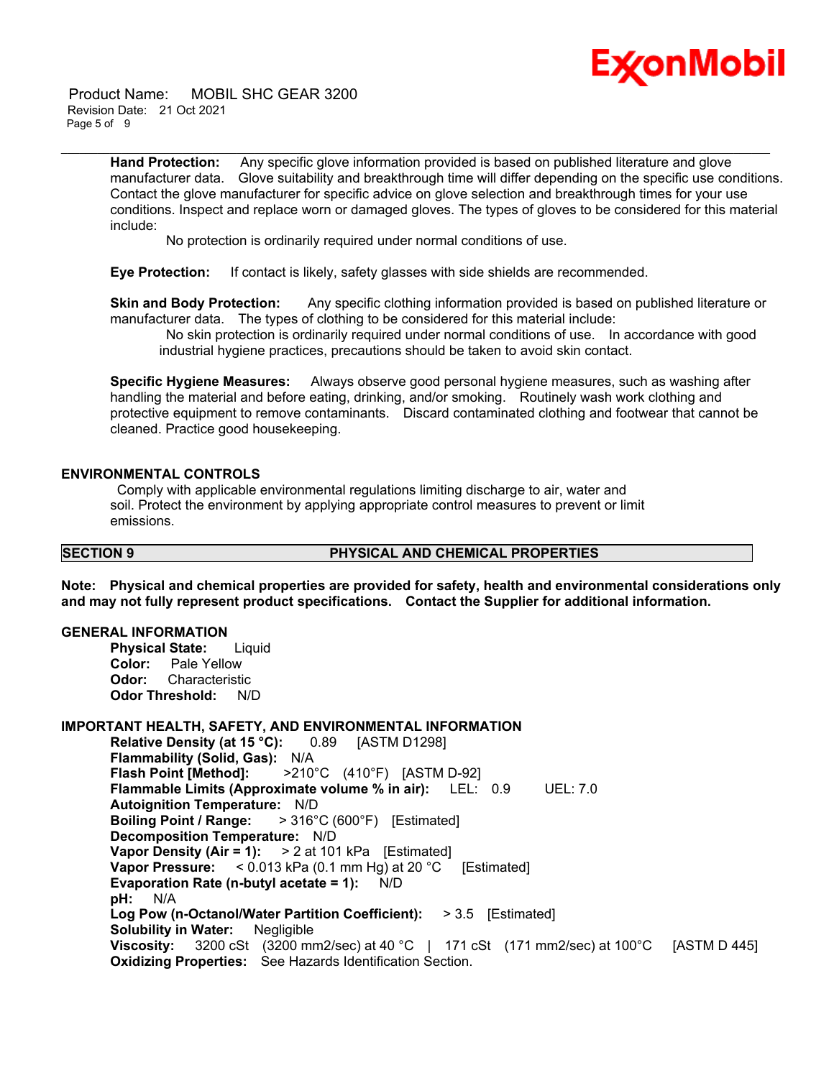# Ex⁄onMobil

 Product Name: MOBIL SHC GEAR 3200 Revision Date: 21 Oct 2021 Page 5 of 9

> **Hand Protection:** Any specific glove information provided is based on published literature and glove manufacturer data. Glove suitability and breakthrough time will differ depending on the specific use conditions. Contact the glove manufacturer for specific advice on glove selection and breakthrough times for your use conditions. Inspect and replace worn or damaged gloves. The types of gloves to be considered for this material include:

\_\_\_\_\_\_\_\_\_\_\_\_\_\_\_\_\_\_\_\_\_\_\_\_\_\_\_\_\_\_\_\_\_\_\_\_\_\_\_\_\_\_\_\_\_\_\_\_\_\_\_\_\_\_\_\_\_\_\_\_\_\_\_\_\_\_\_\_\_\_\_\_\_\_\_\_\_\_\_\_\_\_\_\_\_\_\_\_\_\_\_\_\_\_\_\_\_\_\_\_\_\_\_\_\_\_\_\_\_\_\_\_\_\_\_\_\_

No protection is ordinarily required under normal conditions of use.

**Eye Protection:** If contact is likely, safety glasses with side shields are recommended.

**Skin and Body Protection:** Any specific clothing information provided is based on published literature or manufacturer data. The types of clothing to be considered for this material include:

No skin protection is ordinarily required under normal conditions of use. In accordance with good industrial hygiene practices, precautions should be taken to avoid skin contact.

**Specific Hygiene Measures:** Always observe good personal hygiene measures, such as washing after handling the material and before eating, drinking, and/or smoking. Routinely wash work clothing and protective equipment to remove contaminants. Discard contaminated clothing and footwear that cannot be cleaned. Practice good housekeeping.

### **ENVIRONMENTAL CONTROLS**

Comply with applicable environmental regulations limiting discharge to air, water and soil. Protect the environment by applying appropriate control measures to prevent or limit emissions.

#### **SECTION 9 PHYSICAL AND CHEMICAL PROPERTIES**

**Note: Physical and chemical properties are provided for safety, health and environmental considerations only and may not fully represent product specifications. Contact the Supplier for additional information.**

#### **GENERAL INFORMATION**

**Physical State:** Liquid **Color:** Pale Yellow **Odor:** Characteristic **Odor Threshold:** N/D

#### **IMPORTANT HEALTH, SAFETY, AND ENVIRONMENTAL INFORMATION**

**Relative Density (at 15 °C):** 0.89 [ASTM D1298] **Flammability (Solid, Gas):** N/A **Flash Point [Method]:** >210°C (410°F) [ASTM D-92] **Flammable Limits (Approximate volume % in air):** LEL: 0.9 UEL: 7.0 **Autoignition Temperature:** N/D **Boiling Point / Range:** > 316°C (600°F) [Estimated] **Decomposition Temperature:** N/D **Vapor Density (Air = 1):** > 2 at 101 kPa [Estimated] **Vapor Pressure:** < 0.013 kPa (0.1 mm Hg) at 20 °C [Estimated] **Evaporation Rate (n-butyl acetate = 1):** N/D **pH:** N/A **Log Pow (n-Octanol/Water Partition Coefficient):** > 3.5 [Estimated] **Solubility in Water:** Negligible **Viscosity:** 3200 cSt (3200 mm2/sec) at 40 °C | 171 cSt (171 mm2/sec) at 100°C [ASTM D 445] **Oxidizing Properties:** See Hazards Identification Section.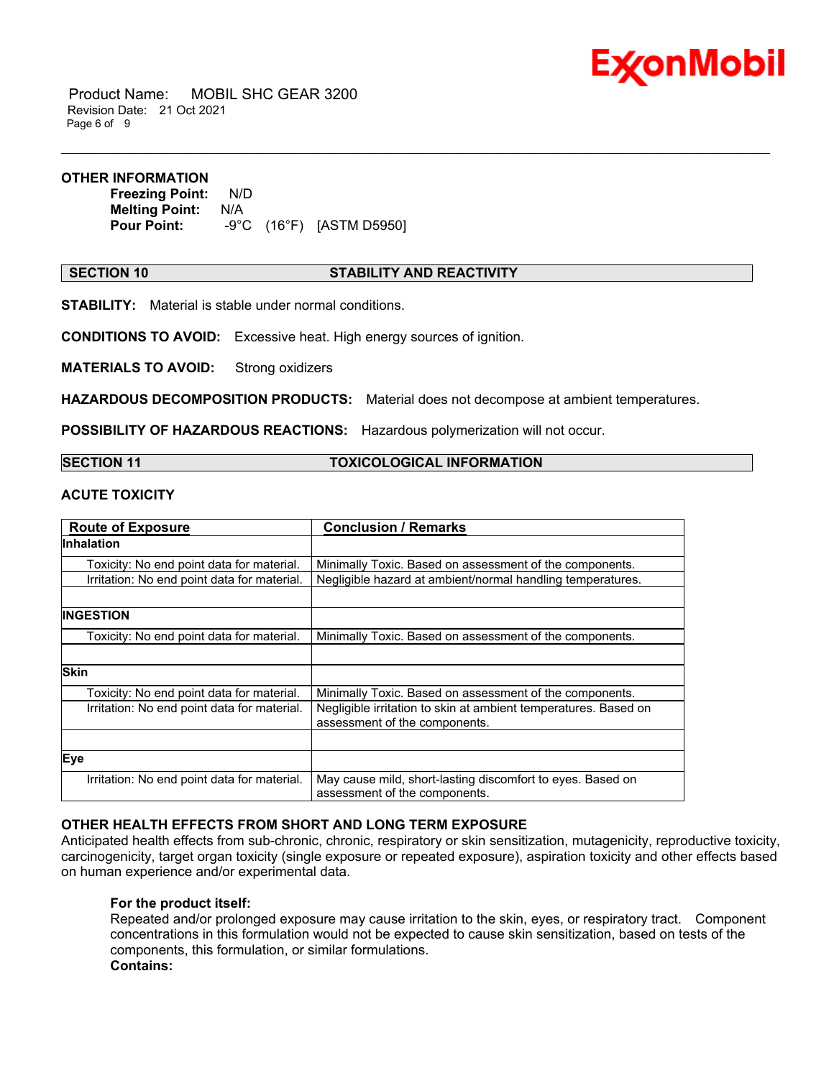

 Product Name: MOBIL SHC GEAR 3200 Revision Date: 21 Oct 2021 Page 6 of 9

#### **OTHER INFORMATION**

**Freezing Point:** N/D **Melting Point:** N/A<br>**Pour Point:** -9°C **Pour Point:** -9°C (16°F) [ASTM D5950]

#### **SECTION 10 STABILITY AND REACTIVITY**

\_\_\_\_\_\_\_\_\_\_\_\_\_\_\_\_\_\_\_\_\_\_\_\_\_\_\_\_\_\_\_\_\_\_\_\_\_\_\_\_\_\_\_\_\_\_\_\_\_\_\_\_\_\_\_\_\_\_\_\_\_\_\_\_\_\_\_\_\_\_\_\_\_\_\_\_\_\_\_\_\_\_\_\_\_\_\_\_\_\_\_\_\_\_\_\_\_\_\_\_\_\_\_\_\_\_\_\_\_\_\_\_\_\_\_\_\_

**STABILITY:** Material is stable under normal conditions.

**CONDITIONS TO AVOID:** Excessive heat. High energy sources of ignition.

**MATERIALS TO AVOID:** Strong oxidizers

**HAZARDOUS DECOMPOSITION PRODUCTS:** Material does not decompose at ambient temperatures.

**POSSIBILITY OF HAZARDOUS REACTIONS:** Hazardous polymerization will not occur.

**SECTION 11 TOXICOLOGICAL INFORMATION**

### **ACUTE TOXICITY**

| <b>Route of Exposure</b>                    | <b>Conclusion / Remarks</b>                                                                      |  |
|---------------------------------------------|--------------------------------------------------------------------------------------------------|--|
| <b>Inhalation</b>                           |                                                                                                  |  |
| Toxicity: No end point data for material.   | Minimally Toxic. Based on assessment of the components.                                          |  |
| Irritation: No end point data for material. | Negligible hazard at ambient/normal handling temperatures.                                       |  |
|                                             |                                                                                                  |  |
| INGESTION                                   |                                                                                                  |  |
| Toxicity: No end point data for material.   | Minimally Toxic. Based on assessment of the components.                                          |  |
|                                             |                                                                                                  |  |
| <b>Skin</b>                                 |                                                                                                  |  |
| Toxicity: No end point data for material.   | Minimally Toxic. Based on assessment of the components.                                          |  |
| Irritation: No end point data for material. | Negligible irritation to skin at ambient temperatures. Based on<br>assessment of the components. |  |
|                                             |                                                                                                  |  |
| Eye                                         |                                                                                                  |  |
| Irritation: No end point data for material. | May cause mild, short-lasting discomfort to eyes. Based on<br>assessment of the components.      |  |

### **OTHER HEALTH EFFECTS FROM SHORT AND LONG TERM EXPOSURE**

Anticipated health effects from sub-chronic, chronic, respiratory or skin sensitization, mutagenicity, reproductive toxicity, carcinogenicity, target organ toxicity (single exposure or repeated exposure), aspiration toxicity and other effects based on human experience and/or experimental data.

#### **For the product itself:**

Repeated and/or prolonged exposure may cause irritation to the skin, eyes, or respiratory tract. Component concentrations in this formulation would not be expected to cause skin sensitization, based on tests of the components, this formulation, or similar formulations. **Contains:**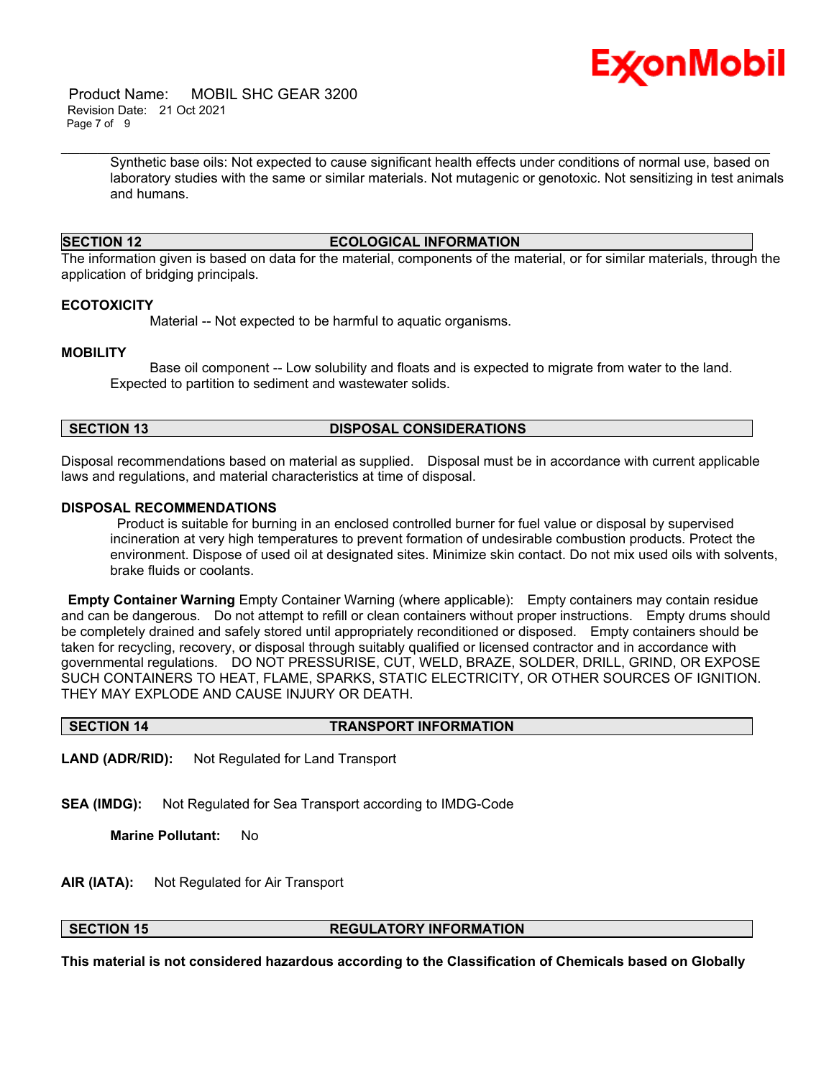

 Product Name: MOBIL SHC GEAR 3200 Revision Date: 21 Oct 2021 Page 7 of 9

> Synthetic base oils: Not expected to cause significant health effects under conditions of normal use, based on laboratory studies with the same or similar materials. Not mutagenic or genotoxic. Not sensitizing in test animals and humans.

### **SECTION 12 ECOLOGICAL INFORMATION**

\_\_\_\_\_\_\_\_\_\_\_\_\_\_\_\_\_\_\_\_\_\_\_\_\_\_\_\_\_\_\_\_\_\_\_\_\_\_\_\_\_\_\_\_\_\_\_\_\_\_\_\_\_\_\_\_\_\_\_\_\_\_\_\_\_\_\_\_\_\_\_\_\_\_\_\_\_\_\_\_\_\_\_\_\_\_\_\_\_\_\_\_\_\_\_\_\_\_\_\_\_\_\_\_\_\_\_\_\_\_\_\_\_\_\_\_\_

The information given is based on data for the material, components of the material, or for similar materials, through the application of bridging principals.

#### **ECOTOXICITY**

Material -- Not expected to be harmful to aquatic organisms.

#### **MOBILITY**

 Base oil component -- Low solubility and floats and is expected to migrate from water to the land. Expected to partition to sediment and wastewater solids.

#### **SECTION 13 DISPOSAL CONSIDERATIONS**

Disposal recommendations based on material as supplied. Disposal must be in accordance with current applicable laws and regulations, and material characteristics at time of disposal.

#### **DISPOSAL RECOMMENDATIONS**

Product is suitable for burning in an enclosed controlled burner for fuel value or disposal by supervised incineration at very high temperatures to prevent formation of undesirable combustion products. Protect the environment. Dispose of used oil at designated sites. Minimize skin contact. Do not mix used oils with solvents, brake fluids or coolants.

**Empty Container Warning** Empty Container Warning (where applicable): Empty containers may contain residue and can be dangerous. Do not attempt to refill or clean containers without proper instructions. Empty drums should be completely drained and safely stored until appropriately reconditioned or disposed. Empty containers should be taken for recycling, recovery, or disposal through suitably qualified or licensed contractor and in accordance with governmental regulations. DO NOT PRESSURISE, CUT, WELD, BRAZE, SOLDER, DRILL, GRIND, OR EXPOSE SUCH CONTAINERS TO HEAT, FLAME, SPARKS, STATIC ELECTRICITY, OR OTHER SOURCES OF IGNITION. THEY MAY EXPLODE AND CAUSE INJURY OR DEATH.

#### **SECTION 14 TRANSPORT INFORMATION**

**LAND (ADR/RID):** Not Regulated for Land Transport

**SEA (IMDG):** Not Regulated for Sea Transport according to IMDG-Code

**Marine Pollutant:** No

**AIR (IATA):** Not Regulated for Air Transport

### **SECTION 15 REGULATORY INFORMATION**

**This material is not considered hazardous according to the Classification of Chemicals based on Globally**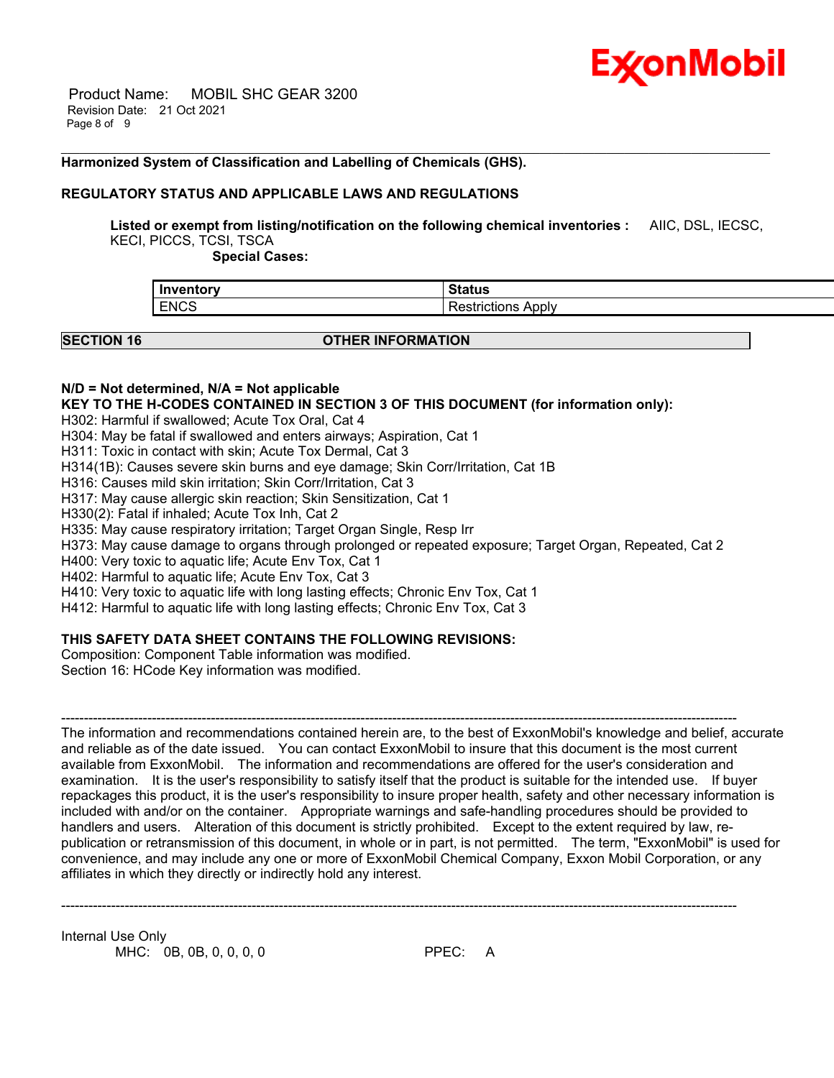

 Product Name: MOBIL SHC GEAR 3200 Revision Date: 21 Oct 2021 Page 8 of 9

#### **Harmonized System of Classification and Labelling of Chemicals (GHS).**

#### **REGULATORY STATUS AND APPLICABLE LAWS AND REGULATIONS**

**Listed or exempt from listing/notification on the following chemical inventories :** AIIC, DSL, IECSC,

\_\_\_\_\_\_\_\_\_\_\_\_\_\_\_\_\_\_\_\_\_\_\_\_\_\_\_\_\_\_\_\_\_\_\_\_\_\_\_\_\_\_\_\_\_\_\_\_\_\_\_\_\_\_\_\_\_\_\_\_\_\_\_\_\_\_\_\_\_\_\_\_\_\_\_\_\_\_\_\_\_\_\_\_\_\_\_\_\_\_\_\_\_\_\_\_\_\_\_\_\_\_\_\_\_\_\_\_\_\_\_\_\_\_\_\_\_

KECI, PICCS, TCSI, TSCA

 **Special Cases:**

| Inventory   | $^{\circ}$ tatue    |
|-------------|---------------------|
| ⊶πιοι       | ialus               |
| <b>ENCS</b> | Apply<br>strictions |

#### **SECTION 16 OTHER INFORMATION**

#### **N/D = Not determined, N/A = Not applicable**

**KEY TO THE H-CODES CONTAINED IN SECTION 3 OF THIS DOCUMENT (for information only):**

H302: Harmful if swallowed; Acute Tox Oral, Cat 4

H304: May be fatal if swallowed and enters airways; Aspiration, Cat 1

H311: Toxic in contact with skin; Acute Tox Dermal, Cat 3

H314(1B): Causes severe skin burns and eye damage; Skin Corr/Irritation, Cat 1B

H316: Causes mild skin irritation; Skin Corr/Irritation, Cat 3

H317: May cause allergic skin reaction; Skin Sensitization, Cat 1

H330(2): Fatal if inhaled; Acute Tox Inh, Cat 2

H335: May cause respiratory irritation; Target Organ Single, Resp Irr

H373: May cause damage to organs through prolonged or repeated exposure; Target Organ, Repeated, Cat 2

H400: Very toxic to aquatic life; Acute Env Tox, Cat 1

H402: Harmful to aquatic life; Acute Env Tox, Cat 3

H410: Very toxic to aquatic life with long lasting effects; Chronic Env Tox, Cat 1

H412: Harmful to aquatic life with long lasting effects; Chronic Env Tox, Cat 3

#### **THIS SAFETY DATA SHEET CONTAINS THE FOLLOWING REVISIONS:**

Composition: Component Table information was modified. Section 16: HCode Key information was modified.

----------------------------------------------------------------------------------------------------------------------------------------------------- The information and recommendations contained herein are, to the best of ExxonMobil's knowledge and belief, accurate and reliable as of the date issued. You can contact ExxonMobil to insure that this document is the most current available from ExxonMobil. The information and recommendations are offered for the user's consideration and examination. It is the user's responsibility to satisfy itself that the product is suitable for the intended use. If buyer repackages this product, it is the user's responsibility to insure proper health, safety and other necessary information is included with and/or on the container. Appropriate warnings and safe-handling procedures should be provided to handlers and users. Alteration of this document is strictly prohibited. Except to the extent required by law, republication or retransmission of this document, in whole or in part, is not permitted. The term, "ExxonMobil" is used for convenience, and may include any one or more of ExxonMobil Chemical Company, Exxon Mobil Corporation, or any affiliates in which they directly or indirectly hold any interest.

-----------------------------------------------------------------------------------------------------------------------------------------------------

Internal Use Only MHC: 0B, 0B, 0, 0, 0, 0 PPEC: A